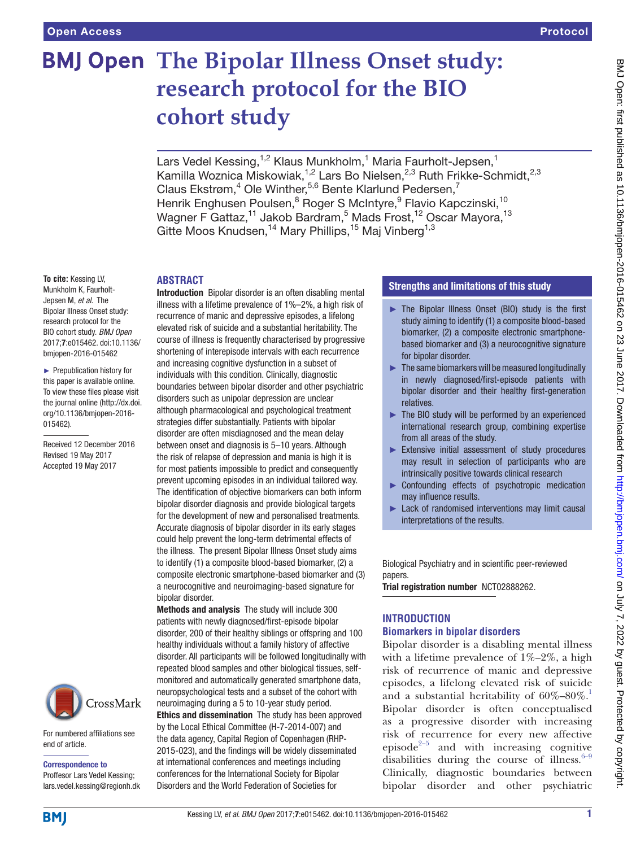# **BMJ Open The Bipolar Illness Onset study: research protocol for the BIO cohort study**

Lars Vedel Kessing,<sup>1,2</sup> Klaus Munkholm,<sup>1</sup> Maria Faurholt-Jepsen,<sup>1</sup> Kamilla Woznica Miskowiak,<sup>1,2</sup> Lars Bo Nielsen,<sup>2,3</sup> Ruth Frikke-Schmidt,<sup>2,3</sup> Claus Ekstrøm, $4$  Ole Winther,<sup>5,6</sup> Bente Klarlund Pedersen,<sup>7</sup> Henrik Enghusen Poulsen, <sup>8</sup> Roger S McIntyre, <sup>9</sup> Flavio Kapczinski, <sup>10</sup> Wagner F Gattaz,<sup>11</sup> Jakob Bardram,<sup>5</sup> Mads Frost,<sup>12</sup> Oscar Mayora,<sup>13</sup> Gitte Moos Knudsen,<sup>14</sup> Mary Phillips,<sup>15</sup> Maj Vinberg<sup>1,3</sup>

#### **Abstract**

**To cite:** Kessing LV, Munkholm K, Faurholt-Jepsen M, *et al*. The Bipolar Illness Onset study: research protocol for the BIO cohort study. *BMJ Open* 2017;7:e015462. doi:10.1136/ bmjopen-2016-015462

► Prepublication history for this paper is available online. To view these files please visit the journal online [\(http://dx.doi.](http://dx.doi.org/10.1136/bmjopen-2016-015462) [org/10.1136/bmjopen-2016-](http://dx.doi.org/10.1136/bmjopen-2016-015462) [015462\)](http://dx.doi.org/10.1136/bmjopen-2016-015462).

Received 12 December 2016 Revised 19 May 2017 Accepted 19 May 2017



For numbered affiliations see end of article.

Correspondence to Proffesor Lars Vedel Kessing; lars.vedel.kessing@regionh.dk

Introduction Bipolar disorder is an often disabling mental illness with a lifetime prevalence of 1%–2%, a high risk of recurrence of manic and depressive episodes, a lifelong elevated risk of suicide and a substantial heritability. The course of illness is frequently characterised by progressive shortening of interepisode intervals with each recurrence and increasing cognitive dysfunction in a subset of individuals with this condition. Clinically, diagnostic boundaries between bipolar disorder and other psychiatric disorders such as unipolar depression are unclear although pharmacological and psychological treatment strategies differ substantially. Patients with bipolar disorder are often misdiagnosed and the mean delay between onset and diagnosis is 5–10 years. Although the risk of relapse of depression and mania is high it is for most patients impossible to predict and consequently prevent upcoming episodes in an individual tailored way. The identification of objective biomarkers can both inform bipolar disorder diagnosis and provide biological targets for the development of new and personalised treatments. Accurate diagnosis of bipolar disorder in its early stages could help prevent the long-term detrimental effects of the illness. The present Bipolar Illness Onset study aims to identify (1) a composite blood-based biomarker, (2) a composite electronic smartphone-based biomarker and (3) a neurocognitive and neuroimaging-based signature for bipolar disorder.

Methods and analysis The study will include 300 patients with newly diagnosed/first-episode bipolar disorder, 200 of their healthy siblings or offspring and 100 healthy individuals without a family history of affective disorder. All participants will be followed longitudinally with repeated blood samples and other biological tissues, selfmonitored and automatically generated smartphone data, neuropsychological tests and a subset of the cohort with neuroimaging during a 5 to 10-year study period. Ethics and dissemination The study has been approved by the Local Ethical Committee (H-7-2014-007) and the data agency, Capital Region of Copenhagen (RHP-2015-023), and the findings will be widely disseminated at international conferences and meetings including conferences for the International Society for Bipolar Disorders and the World Federation of Societies for

#### Strengths and limitations of this study

- ► The Bipolar Illness Onset (BIO) study is the first study aiming to identify (1) a composite blood-based biomarker, (2) a composite electronic smartphonebased biomarker and (3) a neurocognitive signature for bipolar disorder.
- $\blacktriangleright$  The same biomarkers will be measured longitudinally in newly diagnosed/first-episode patients with bipolar disorder and their healthy first-generation relatives.
- $\blacktriangleright$  The BIO study will be performed by an experienced international research group, combining expertise from all areas of the study.
- ► Extensive initial assessment of study procedures may result in selection of participants who are intrinsically positive towards clinical research
- ► Confounding effects of psychotropic medication may influence results.
- ► Lack of randomised interventions may limit causal interpretations of the results.

Biological Psychiatry and in scientific peer-reviewed papers.

Trial registration number NCT02888262.

# **Introduction**

#### **Biomarkers in bipolar disorders**

Bipolar disorder is a disabling mental illness with a lifetime prevalence of  $1\% - 2\%$ , a high risk of recurrence of manic and depressive episodes, a lifelong elevated risk of suicide and a substantial heritability of  $60\% - 80\%$ .<sup>1</sup> Bipolar disorder is often conceptualised as a progressive disorder with increasing risk of recurrence for every new affective episode<sup>[2–5](#page-9-1)</sup> and with increasing cognitive disabilities during the course of illness. $6-9$ Clinically, diagnostic boundaries between bipolar disorder and other psychiatric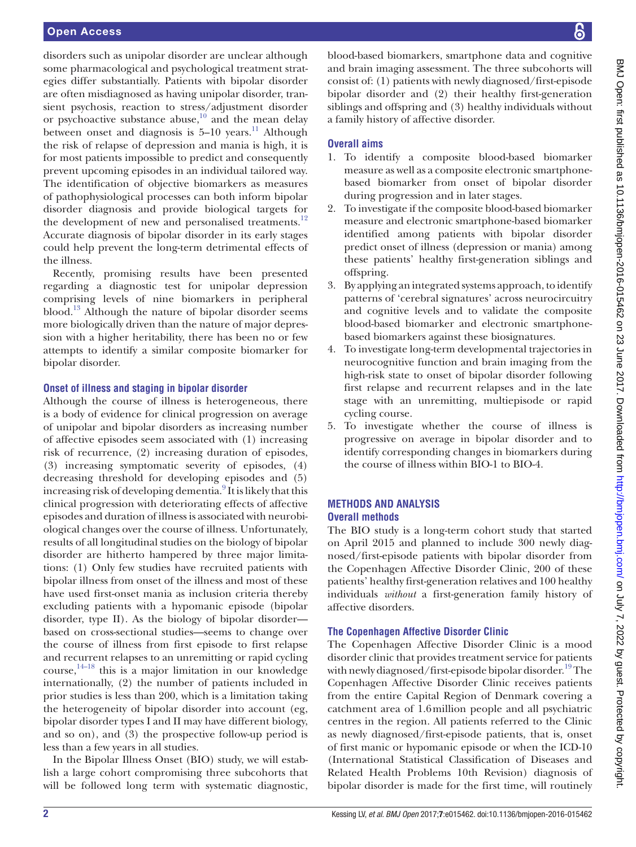disorders such as unipolar disorder are unclear although some pharmacological and psychological treatment strategies differ substantially. Patients with bipolar disorder are often misdiagnosed as having unipolar disorder, transient psychosis, reaction to stress/adjustment disorder or psychoactive substance abuse, $10$  and the mean delay between onset and diagnosis is  $5-10$  years.<sup>11</sup> Although the risk of relapse of depression and mania is high, it is for most patients impossible to predict and consequently prevent upcoming episodes in an individual tailored way. The identification of objective biomarkers as measures of pathophysiological processes can both inform bipolar disorder diagnosis and provide biological targets for the development of new and personalised treatments.<sup>[12](#page-9-5)</sup> Accurate diagnosis of bipolar disorder in its early stages could help prevent the long-term detrimental effects of the illness.

Recently, promising results have been presented regarding a diagnostic test for unipolar depression comprising levels of nine biomarkers in peripheral blood.[13](#page-9-6) Although the nature of bipolar disorder seems more biologically driven than the nature of major depression with a higher heritability, there has been no or few attempts to identify a similar composite biomarker for bipolar disorder.

#### **Onset of illness and staging in bipolar disorder**

Although the course of illness is heterogeneous, there is a body of evidence for clinical progression on average of unipolar and bipolar disorders as increasing number of affective episodes seem associated with (1) increasing risk of recurrence, (2) increasing duration of episodes, (3) increasing symptomatic severity of episodes, (4) decreasing threshold for developing episodes and (5) increasing risk of developing dementia.<sup>9</sup> It is likely that this clinical progression with deteriorating effects of affective episodes and duration of illness is associated with neurobiological changes over the course of illness. Unfortunately, results of all longitudinal studies on the biology of bipolar disorder are hitherto hampered by three major limitations: (1) Only few studies have recruited patients with bipolar illness from onset of the illness and most of these have used first-onset mania as inclusion criteria thereby excluding patients with a hypomanic episode (bipolar disorder, type II). As the biology of bipolar disorder based on cross-sectional studies—seems to change over the course of illness from first episode to first relapse and recurrent relapses to an unremitting or rapid cycling course, [14–18](#page-9-8) this is a major limitation in our knowledge internationally, (2) the number of patients included in prior studies is less than 200, which is a limitation taking the heterogeneity of bipolar disorder into account (eg, bipolar disorder types I and II may have different biology, and so on), and (3) the prospective follow-up period is less than a few years in all studies.

In the Bipolar Illness Onset (BIO) study, we will establish a large cohort compromising three subcohorts that will be followed long term with systematic diagnostic,

blood-based biomarkers, smartphone data and cognitive and brain imaging assessment. The three subcohorts will consist of: (1) patients with newly diagnosed/first-episode bipolar disorder and (2) their healthy first-generation siblings and offspring and (3) healthy individuals without a family history of affective disorder.

# **Overall aims**

- 1. To identify a composite blood-based biomarker measure as well as a composite electronic smartphonebased biomarker from onset of bipolar disorder during progression and in later stages.
- 2. To investigate if the composite blood-based biomarker measure and electronic smartphone-based biomarker identified among patients with bipolar disorder predict onset of illness (depression or mania) among these patients' healthy first-generation siblings and offspring.
- 3. By applying an integrated systems approach, to identify patterns of 'cerebral signatures' across neurocircuitry and cognitive levels and to validate the composite blood-based biomarker and electronic smartphonebased biomarkers against these biosignatures.
- 4. To investigate long-term developmental trajectories in neurocognitive function and brain imaging from the high-risk state to onset of bipolar disorder following first relapse and recurrent relapses and in the late stage with an unremitting, multiepisode or rapid cycling course.
- 5. To investigate whether the course of illness is progressive on average in bipolar disorder and to identify corresponding changes in biomarkers during the course of illness within BIO-1 to BIO-4.

#### **Methods and analysis Overall methods**

The BIO study is a long-term cohort study that started on April 2015 and planned to include 300 newly diagnosed/first-episode patients with bipolar disorder from the Copenhagen Affective Disorder Clinic, 200 of these patients' healthy first-generation relatives and 100 healthy individuals *without* a first-generation family history of affective disorders.

# **The Copenhagen Affective Disorder Clinic**

The Copenhagen Affective Disorder Clinic is a mood disorder clinic that provides treatment service for patients with newly diagnosed/first-episode bipolar disorder.<sup>19</sup> The Copenhagen Affective Disorder Clinic receives patients from the entire Capital Region of Denmark covering a catchment area of 1.6million people and all psychiatric centres in the region. All patients referred to the Clinic as newly diagnosed/first-episode patients, that is, onset of first manic or hypomanic episode or when the ICD-10 (International Statistical Classification of Diseases and Related Health Problems 10th Revision) diagnosis of bipolar disorder is made for the first time, will routinely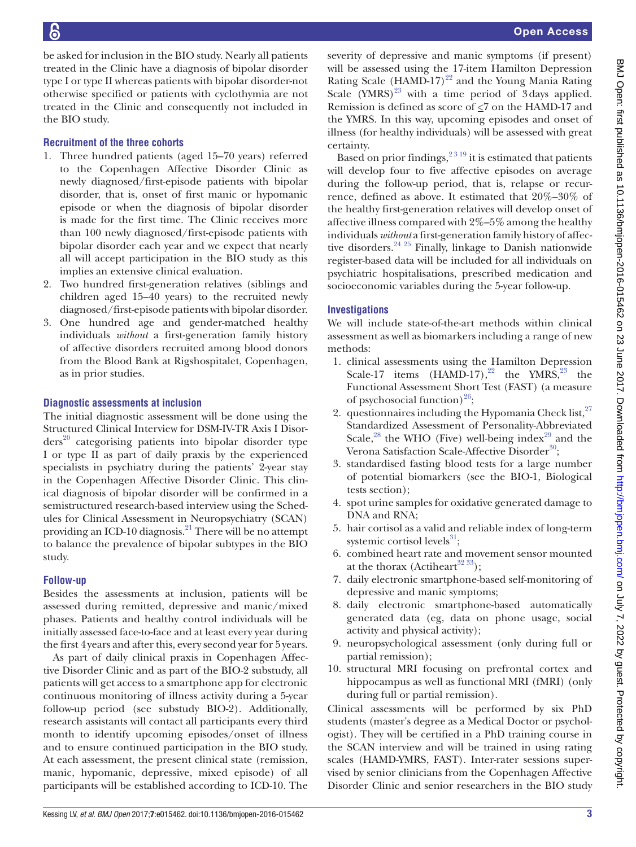be asked for inclusion in the BIO study. Nearly all patients treated in the Clinic have a diagnosis of bipolar disorder type I or type II whereas patients with bipolar disorder-not otherwise specified or patients with cyclothymia are not treated in the Clinic and consequently not included in the BIO study.

# **Recruitment of the three cohorts**

- 1. Three hundred patients (aged 15–70 years) referred to the Copenhagen Affective Disorder Clinic as newly diagnosed/first-episode patients with bipolar disorder, that is, onset of first manic or hypomanic episode or when the diagnosis of bipolar disorder is made for the first time. The Clinic receives more than 100 newly diagnosed/first-episode patients with bipolar disorder each year and we expect that nearly all will accept participation in the BIO study as this implies an extensive clinical evaluation.
- 2. Two hundred first-generation relatives (siblings and children aged 15–40 years) to the recruited newly diagnosed/first-episode patients with bipolar disorder.
- 3. One hundred age and gender-matched healthy individuals *without* a first-generation family history of affective disorders recruited among blood donors from the Blood Bank at Rigshospitalet, Copenhagen, as in prior studies.

#### **Diagnostic assessments at inclusion**

The initial diagnostic assessment will be done using the Structured Clinical Interview for DSM-IV-TR Axis I Disor $ders<sup>20</sup>$  categorising patients into bipolar disorder type I or type II as part of daily praxis by the experienced specialists in psychiatry during the patients' 2-year stay in the Copenhagen Affective Disorder Clinic. This clinical diagnosis of bipolar disorder will be confirmed in a semistructured research-based interview using the Schedules for Clinical Assessment in Neuropsychiatry (SCAN) providing an ICD-10 diagnosis.<sup>21</sup> There will be no attempt to balance the prevalence of bipolar subtypes in the BIO study.

#### **Follow-up**

Besides the assessments at inclusion, patients will be assessed during remitted, depressive and manic/mixed phases. Patients and healthy control individuals will be initially assessed face-to-face and at least every year during the first 4years and after this, every second year for 5years.

As part of daily clinical praxis in Copenhagen Affective Disorder Clinic and as part of the BIO-2 substudy, all patients will get access to a smartphone app for electronic continuous monitoring of illness activity during a 5-year follow-up period (see substudy BIO-2). Additionally, research assistants will contact all participants every third month to identify upcoming episodes/onset of illness and to ensure continued participation in the BIO study. At each assessment, the present clinical state (remission, manic, hypomanic, depressive, mixed episode) of all participants will be established according to ICD-10. The

severity of depressive and manic symptoms (if present) will be assessed using the 17-item Hamilton Depression Rating Scale (HAMD-17)<sup>22</sup> and the Young Mania Rating Scale  $(YMRS)^{23}$  $(YMRS)^{23}$  $(YMRS)^{23}$  with a time period of 3 days applied. Remission is defined as score of <7 on the HAMD-17 and the YMRS. In this way, upcoming episodes and onset of illness (for healthy individuals) will be assessed with great certainty.

Based on prior findings,  $2^{319}$  it is estimated that patients will develop four to five affective episodes on average during the follow-up period, that is, relapse or recurrence, defined as above. It estimated that 20%–30% of the healthy first-generation relatives will develop onset of affective illness compared with 2%–5% among the healthy individuals *without* a first-generation family history of affec-tive disorders.<sup>[24 25](#page-9-14)</sup> Finally, linkage to Danish nationwide register-based data will be included for all individuals on psychiatric hospitalisations, prescribed medication and socioeconomic variables during the 5-year follow-up.

# **Investigations**

We will include state-of-the-art methods within clinical assessment as well as biomarkers including a range of new methods:

- 1. clinical assessments using the Hamilton Depression Scale-17 items  $(HAMD-17)$ ,  $^{22}$  the YMRS,  $^{23}$  $^{23}$  $^{23}$  the Functional Assessment Short Test (FAST) (a measure of psychosocial function) $^{26}$  $^{26}$  $^{26}$ ;
- 2. questionnaires including the Hypomania Check list,  $27$ Standardized Assessment of Personality-Abbreviated Scale, $^{28}$  the WHO (Five) well-being index $^{29}$  and the Verona Satisfaction Scale-Affective Disorder<sup>[30](#page-9-19)</sup>;
- 3. standardised fasting blood tests for a large number of potential biomarkers (see the BIO-1, Biological tests section);
- 4. spot urine samples for oxidative generated damage to DNA and RNA;
- 5. hair cortisol as a valid and reliable index of long-term systemic cortisol levels<sup>31</sup>;
- 6. combined heart rate and movement sensor mounted at the thorax (Actiheart<sup>32 33</sup>);
- 7. daily electronic smartphone-based self-monitoring of depressive and manic symptoms;
- 8. daily electronic smartphone-based automatically generated data (eg, data on phone usage, social activity and physical activity);
- 9. neuropsychological assessment (only during full or partial remission);
- 10. structural MRI focusing on prefrontal cortex and hippocampus as well as functional MRI (fMRI) (only during full or partial remission).

Clinical assessments will be performed by six PhD students (master's degree as a Medical Doctor or psychologist). They will be certified in a PhD training course in the SCAN interview and will be trained in using rating scales (HAMD-YMRS, FAST). Inter-rater sessions supervised by senior clinicians from the Copenhagen Affective Disorder Clinic and senior researchers in the BIO study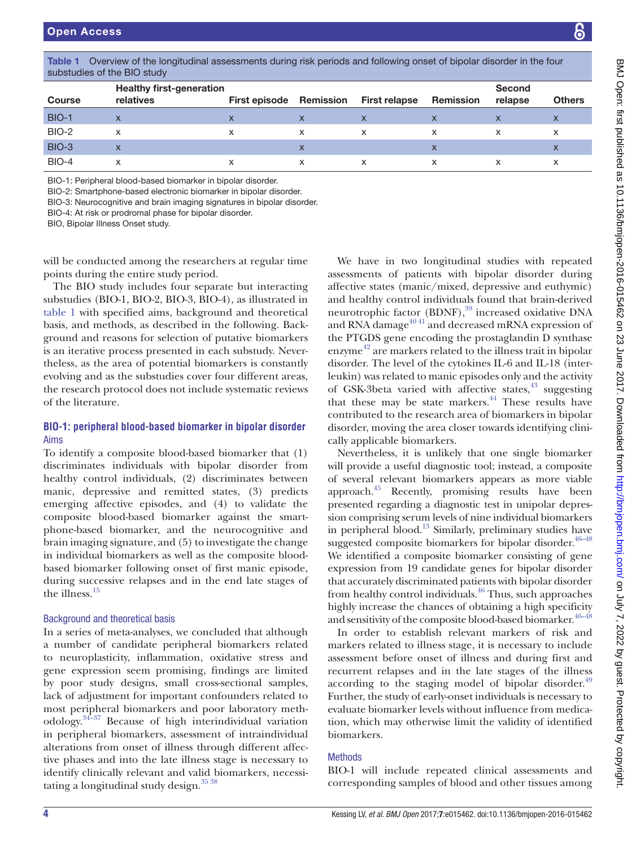Course

**Second** 

relapse Others

| <b>BIO-1</b>                                                                                                                                                                                                                                                                                                 | $\mathsf{X}$                                                                                                                                                                                                                                                                                                                                                                                                                                                                                                                                                                                                                                              | $\mathsf{x}$ | $\mathsf{x}$                                                 | $\boldsymbol{\mathsf{X}}$                                                                                                                                                                                                                                                                                                                                                                                                                                                                                                                                          | $\mathsf{x}$              | $\boldsymbol{\mathsf{X}}$ | X            |  |  |  |  |  |
|--------------------------------------------------------------------------------------------------------------------------------------------------------------------------------------------------------------------------------------------------------------------------------------------------------------|-----------------------------------------------------------------------------------------------------------------------------------------------------------------------------------------------------------------------------------------------------------------------------------------------------------------------------------------------------------------------------------------------------------------------------------------------------------------------------------------------------------------------------------------------------------------------------------------------------------------------------------------------------------|--------------|--------------------------------------------------------------|--------------------------------------------------------------------------------------------------------------------------------------------------------------------------------------------------------------------------------------------------------------------------------------------------------------------------------------------------------------------------------------------------------------------------------------------------------------------------------------------------------------------------------------------------------------------|---------------------------|---------------------------|--------------|--|--|--|--|--|
| BIO-2                                                                                                                                                                                                                                                                                                        | X                                                                                                                                                                                                                                                                                                                                                                                                                                                                                                                                                                                                                                                         | $\mathsf{x}$ | X                                                            | X                                                                                                                                                                                                                                                                                                                                                                                                                                                                                                                                                                  | $\times$                  | X                         | X            |  |  |  |  |  |
| <b>BIO-3</b>                                                                                                                                                                                                                                                                                                 | $\mathsf{x}$                                                                                                                                                                                                                                                                                                                                                                                                                                                                                                                                                                                                                                              |              | $\mathsf{x}$                                                 |                                                                                                                                                                                                                                                                                                                                                                                                                                                                                                                                                                    | $\mathsf{x}$              |                           | X            |  |  |  |  |  |
| BIO-4                                                                                                                                                                                                                                                                                                        | X                                                                                                                                                                                                                                                                                                                                                                                                                                                                                                                                                                                                                                                         | $\mathsf{x}$ | X                                                            | X                                                                                                                                                                                                                                                                                                                                                                                                                                                                                                                                                                  | $\boldsymbol{\mathsf{x}}$ | X                         | $\mathsf{x}$ |  |  |  |  |  |
| BIO-1: Peripheral blood-based biomarker in bipolar disorder.<br>BIO-2: Smartphone-based electronic biomarker in bipolar disorder.<br>BIO-3: Neurocognitive and brain imaging signatures in bipolar disorder.<br>BIO-4: At risk or prodromal phase for bipolar disorder.<br>BIO, Bipolar Illness Onset study. |                                                                                                                                                                                                                                                                                                                                                                                                                                                                                                                                                                                                                                                           |              |                                                              |                                                                                                                                                                                                                                                                                                                                                                                                                                                                                                                                                                    |                           |                           |              |  |  |  |  |  |
|                                                                                                                                                                                                                                                                                                              | vill be conducted among the researchers at regular time<br>soints during the entire study period.<br>The BIO study includes four separate but interacting<br>ubstudies (BIO-1, BIO-2, BIO-3, BIO-4), as illustrated in<br>able 1 with specified aims, background and theoretical<br>pasis, and methods, as described in the following. Back-<br>round and reasons for selection of putative biomarkers<br>s an iterative process presented in each substudy. Never-<br>heless, as the area of potential biomarkers is constantly<br>volving and as the substudies cover four different areas,<br>he research protocol does not include systematic reviews |              | of GSK-3beta varied with affective states, <sup>43</sup> sug | We have in two longitudinal studies with re<br>assessments of patients with bipolar disorder<br>affective states (manic/mixed, depressive and eu<br>and healthy control individuals found that brain-<br>neurotrophic factor (BDNF), <sup>39</sup> increased oxidativ<br>and RNA damage <sup>4041</sup> and decreased mRNA expre<br>the PTGDS gene encoding the prostaglandin D s<br>enzyme <sup>42</sup> are markers related to the illness trait in<br>disorder. The level of the cytokines IL-6 and IL-18<br>leukin) was related to manic episodes only and the |                           |                           |              |  |  |  |  |  |

<span id="page-3-0"></span>Table 1 Overview of the longitudinal assessments during risk periods and following onset of bipolar disorder in the four substudies of the BIO study

relatives First episode Remission First relapse Remission

|   | <b>DIO H. Denis legan I lete ent legan de la femancia de la femanta altre analan</b> |  |  |  |  |  |
|---|--------------------------------------------------------------------------------------|--|--|--|--|--|
|   |                                                                                      |  |  |  |  |  |
| . |                                                                                      |  |  |  |  |  |

Healthy first-generation

The BIO study includes substudies (BIO-1, BIO-2, l [table](#page-3-0)  $1$  with specified aims basis, and methods, as des ground and reasons for sel is an iterative process present theless, as the area of potential biomarkers is constant. evolving and as the substud the research protocol does of the literature.

# **BIO-1: peripheral blood-based biomarker in bipolar disorder** Aims

To identify a composite blood-based biomarker that (1) discriminates individuals with bipolar disorder from healthy control individuals, (2) discriminates between manic, depressive and remitted states, (3) predicts emerging affective episodes, and (4) to validate the composite blood-based biomarker against the smartphone-based biomarker, and the neurocognitive and brain imaging signature, and (5) to investigate the change in individual biomarkers as well as the composite bloodbased biomarker following onset of first manic episode, during successive relapses and in the end late stages of the illness.<sup>[15](#page-9-22)</sup>

# Background and theoretical basis

In a series of meta-analyses, we concluded that although a number of candidate peripheral biomarkers related to neuroplasticity, inflammation, oxidative stress and gene expression seem promising, findings are limited by poor study designs, small cross-sectional samples, lack of adjustment for important confounders related to most peripheral biomarkers and poor laboratory methodology[.34–37](#page-9-23) Because of high interindividual variation in peripheral biomarkers, assessment of intraindividual alterations from onset of illness through different affective phases and into the late illness stage is necessary to identify clinically relevant and valid biomarkers, necessitating a longitudinal study design. $3538$ 

gitudinal studies with repeated with bipolar disorder during mixed, depressive and euthymic) ividuals found that brain-derived  $DNF$ ), $39$  increased oxidative DNA d decreased mRNA expression of ing the prostaglandin D synthase lated to the illness trait in bipolar e cytokines IL-6 and IL-18 (interanic episodes only and the activity ith affective states, $43$  suggesting that these may be state markers.<sup>44</sup> These results have contributed to the research area of biomarkers in bipolar disorder, moving the area closer towards identifying clinically applicable biomarkers.

Nevertheless, it is unlikely that one single biomarker will provide a useful diagnostic tool; instead, a composite of several relevant biomarkers appears as more viable approach[.45](#page-10-5) Recently, promising results have been presented regarding a diagnostic test in unipolar depression comprising serum levels of nine individual biomarkers in peripheral blood.<sup>[13](#page-9-6)</sup> Similarly, preliminary studies have suggested composite biomarkers for bipolar disorder.<sup>46–48</sup> We identified a composite biomarker consisting of gene expression from 19 candidate genes for bipolar disorder that accurately discriminated patients with bipolar disorder from healthy control individuals.<sup>46</sup> Thus, such approaches highly increase the chances of obtaining a high specificity and sensitivity of the composite blood-based biomarker.  $46-48$ 

In order to establish relevant markers of risk and markers related to illness stage, it is necessary to include assessment before onset of illness and during first and recurrent relapses and in the late stages of the illness according to the staging model of bipolar disorder. $49$ Further, the study of early-onset individuals is necessary to evaluate biomarker levels without influence from medication, which may otherwise limit the validity of identified biomarkers.

# Methods

BIO-1 will include repeated clinical assessments and corresponding samples of blood and other tissues among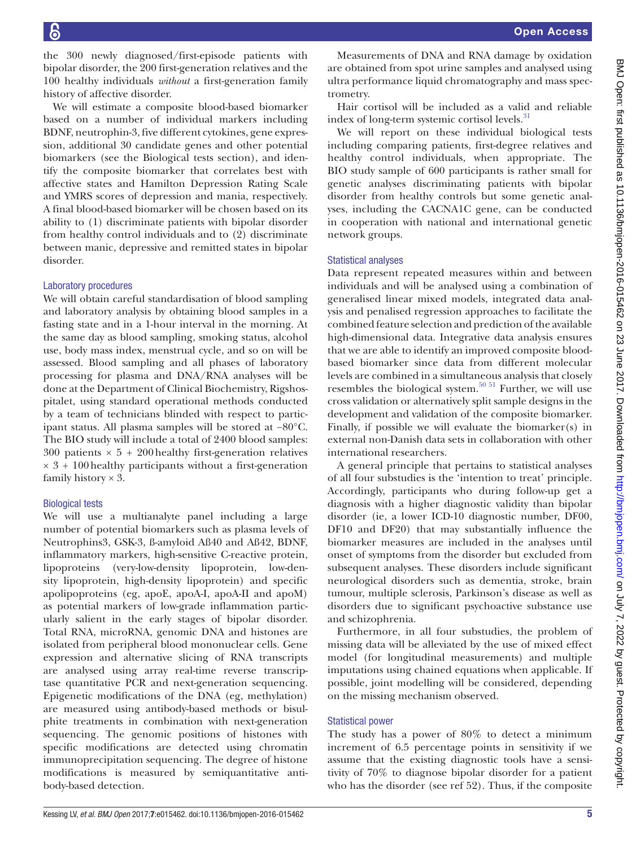the 300 newly diagnosed/first-episode patients with bipolar disorder, the 200 first-generation relatives and the 100 healthy individuals *without* a first-generation family history of affective disorder.

We will estimate a composite blood-based biomarker based on a number of individual markers including BDNF, neutrophin-3, five different cytokines, gene expression, additional 30 candidate genes and other potential biomarkers (see the Biological tests section), and identify the composite biomarker that correlates best with affective states and Hamilton Depression Rating Scale and YMRS scores of depression and mania, respectively. A final blood-based biomarker will be chosen based on its ability to (1) discriminate patients with bipolar disorder from healthy control individuals and to (2) discriminate between manic, depressive and remitted states in bipolar disorder.

#### Laboratory procedures

We will obtain careful standardisation of blood sampling and laboratory analysis by obtaining blood samples in a fasting state and in a 1-hour interval in the morning. At the same day as blood sampling, smoking status, alcohol use, body mass index, menstrual cycle, and so on will be assessed. Blood sampling and all phases of laboratory processing for plasma and DNA/RNA analyses will be done at the Department of Clinical Biochemistry, Rigshospitalet, using standard operational methods conducted by a team of technicians blinded with respect to participant status. All plasma samples will be stored at −80°C. The BIO study will include a total of 2400 blood samples: 300 patients  $\times$  5 + 200 healthy first-generation relatives  $\times$  3 + 100 healthy participants without a first-generation family history  $\times$  3.

#### Biological tests

We will use a multianalyte panel including a large number of potential biomarkers such as plasma levels of Neutrophins3, GSK-3, ß-amyloid Aß40 and Aß42, BDNF, inflammatory markers, high-sensitive C-reactive protein, lipoproteins (very-low-density lipoprotein, low-density lipoprotein, high-density lipoprotein) and specific apolipoproteins (eg, apoE, apoA-I, apoA-II and apoM) as potential markers of low-grade inflammation particularly salient in the early stages of bipolar disorder. Total RNA, microRNA, genomic DNA and histones are isolated from peripheral blood mononuclear cells. Gene expression and alternative slicing of RNA transcripts are analysed using array real-time reverse transcriptase quantitative PCR and next-generation sequencing. Epigenetic modifications of the DNA (eg, methylation) are measured using antibody-based methods or bisulphite treatments in combination with next-generation sequencing. The genomic positions of histones with specific modifications are detected using chromatin immunoprecipitation sequencing. The degree of histone modifications is measured by semiquantitative antibody-based detection.

Measurements of DNA and RNA damage by oxidation are obtained from spot urine samples and analysed using ultra performance liquid chromatography and mass spectrometry.

Hair cortisol will be included as a valid and reliable index of long-term systemic cortisol levels.<sup>31</sup>

We will report on these individual biological tests including comparing patients, first-degree relatives and healthy control individuals, when appropriate. The BIO study sample of 600 participants is rather small for genetic analyses discriminating patients with bipolar disorder from healthy controls but some genetic analyses, including the CACNA1C gene, can be conducted in cooperation with national and international genetic network groups.

#### Statistical analyses

Data represent repeated measures within and between individuals and will be analysed using a combination of generalised linear mixed models, integrated data analysis and penalised regression approaches to facilitate the combined feature selection and prediction of the available high-dimensional data. Integrative data analysis ensures that we are able to identify an improved composite bloodbased biomarker since data from different molecular levels are combined in a simultaneous analysis that closely resembles the biological system. $50\,51$  Further, we will use cross validation or alternatively split sample designs in the development and validation of the composite biomarker. Finally, if possible we will evaluate the biomarker(s) in external non-Danish data sets in collaboration with other international researchers.

A general principle that pertains to statistical analyses of all four substudies is the 'intention to treat' principle. Accordingly, participants who during follow-up get a diagnosis with a higher diagnostic validity than bipolar disorder (ie, a lower ICD-10 diagnostic number, DF00, DF10 and DF20) that may substantially influence the biomarker measures are included in the analyses until onset of symptoms from the disorder but excluded from subsequent analyses. These disorders include significant neurological disorders such as dementia, stroke, brain tumour, multiple sclerosis, Parkinson's disease as well as disorders due to significant psychoactive substance use and schizophrenia.

Furthermore, in all four substudies, the problem of missing data will be alleviated by the use of mixed effect model (for longitudinal measurements) and multiple imputations using chained equations when applicable. If possible, joint modelling will be considered, depending on the missing mechanism observed.

#### Statistical power

The study has a power of 80% to detect a minimum increment of 6.5 percentage points in sensitivity if we assume that the existing diagnostic tools have a sensitivity of 70% to diagnose bipolar disorder for a patient who has the disorder (see ref [52](#page-10-9)). Thus, if the composite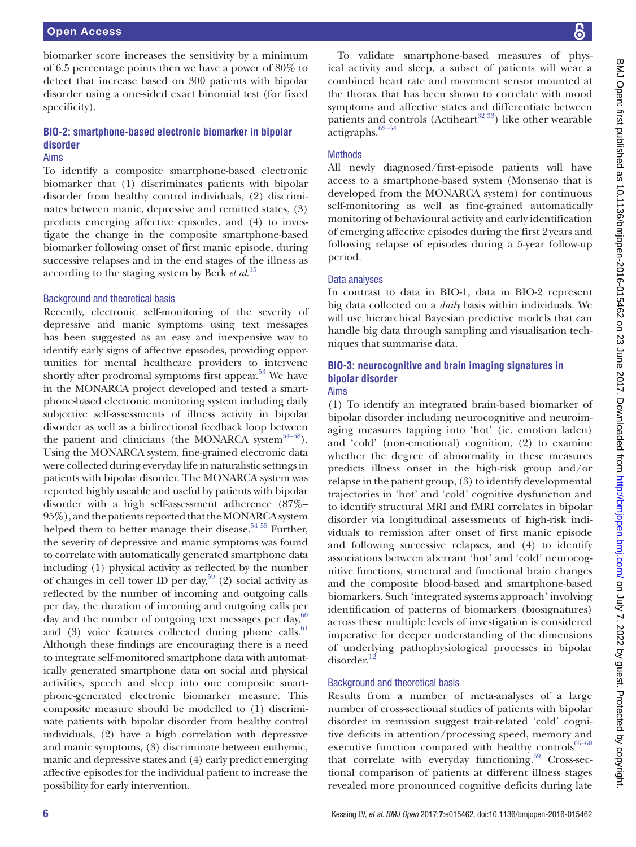# **BIO-2: smartphone-based electronic biomarker in bipolar disorder**

#### Aims

To identify a composite smartphone-based electronic biomarker that (1) discriminates patients with bipolar disorder from healthy control individuals, (2) discriminates between manic, depressive and remitted states, (3) predicts emerging affective episodes, and (4) to investigate the change in the composite smartphone-based biomarker following onset of first manic episode, during successive relapses and in the end stages of the illness as according to the staging system by Berk *et al*. [15](#page-9-22)

#### Background and theoretical basis

Recently, electronic self-monitoring of the severity of depressive and manic symptoms using text messages has been suggested as an easy and inexpensive way to identify early signs of affective episodes, providing opportunities for mental healthcare providers to intervene shortly after prodromal symptoms first appear.<sup>53</sup> We have in the MONARCA project developed and tested a smartphone-based electronic monitoring system including daily subjective self-assessments of illness activity in bipolar disorder as well as a bidirectional feedback loop between the patient and clinicians (the MONARCA system $54-58$ ). Using the MONARCA system, fine-grained electronic data were collected during everyday life in naturalistic settings in patients with bipolar disorder. The MONARCA system was reported highly useable and useful by patients with bipolar disorder with a high self-assessment adherence (87%– 95%), and the patients reported that the MONARCA system helped them to better manage their disease.<sup>54 55</sup> Further, the severity of depressive and manic symptoms was found to correlate with automatically generated smartphone data including (1) physical activity as reflected by the number of changes in cell tower ID per day,  $59$  (2) social activity as reflected by the number of incoming and outgoing calls per day, the duration of incoming and outgoing calls per day and the number of outgoing text messages per day, $60$ and (3) voice features collected during phone calls. $61$ Although these findings are encouraging there is a need to integrate self-monitored smartphone data with automatically generated smartphone data on social and physical activities, speech and sleep into one composite smartphone-generated electronic biomarker measure. This composite measure should be modelled to (1) discriminate patients with bipolar disorder from healthy control individuals, (2) have a high correlation with depressive and manic symptoms, (3) discriminate between euthymic, manic and depressive states and (4) early predict emerging affective episodes for the individual patient to increase the possibility for early intervention.

To validate smartphone-based measures of physical activity and sleep, a subset of patients will wear a combined heart rate and movement sensor mounted at the thorax that has been shown to correlate with mood symptoms and affective states and differentiate between patients and controls (Actiheart<sup>32 33</sup>) like other wearable actigraphs.<sup>62-64</sup>

# Methods

All newly diagnosed/first-episode patients will have access to a smartphone-based system (Monsenso that is developed from the MONARCA system) for continuous self-monitoring as well as fine-grained automatically monitoring of behavioural activity and early identification of emerging affective episodes during the first 2years and following relapse of episodes during a 5-year follow-up period.

# Data analyses

In contrast to data in BIO-1, data in BIO-2 represent big data collected on a *daily* basis within individuals. We will use hierarchical Bayesian predictive models that can handle big data through sampling and visualisation techniques that summarise data.

#### **BIO-3: neurocognitive and brain imaging signatures in bipolar disorder** Aims

(1) To identify an integrated brain-based biomarker of bipolar disorder including neurocognitive and neuroimaging measures tapping into 'hot' (ie, emotion laden) and 'cold' (non-emotional) cognition, (2) to examine whether the degree of abnormality in these measures predicts illness onset in the high-risk group and/or relapse in the patient group, (3) to identify developmental trajectories in 'hot' and 'cold' cognitive dysfunction and to identify structural MRI and fMRI correlates in bipolar disorder via longitudinal assessments of high-risk individuals to remission after onset of first manic episode and following successive relapses, and (4) to identify associations between aberrant 'hot' and 'cold' neurocognitive functions, structural and functional brain changes and the composite blood-based and smartphone-based biomarkers. Such 'integrated systems approach' involving identification of patterns of biomarkers (biosignatures) across these multiple levels of investigation is considered imperative for deeper understanding of the dimensions of underlying pathophysiological processes in bipolar disorder.<sup>[12](#page-9-5)</sup>

# Background and theoretical basis

Results from a number of meta-analyses of a large number of cross-sectional studies of patients with bipolar disorder in remission suggest trait-related 'cold' cognitive deficits in attention/processing speed, memory and executive function compared with healthy controls $65-68$ that correlate with everyday functioning. $69$  Cross-sectional comparison of patients at different illness stages revealed more pronounced cognitive deficits during late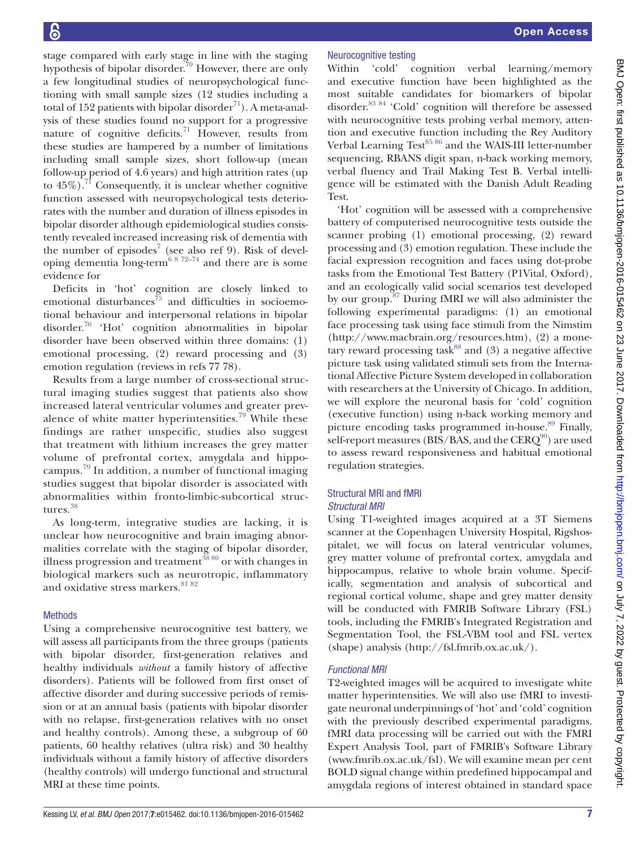stage compared with early stage in line with the staging hypothesis of bipolar disorder.<sup>70</sup> However, there are only a few longitudinal studies of neuropsychological functioning with small sample sizes (12 studies including a total of 152 patients with bipolar disorder<sup>71</sup>). A meta-analysis of these studies found no support for a progressive nature of cognitive deficits.<sup>[71](#page-10-19)</sup> However, results from these studies are hampered by a number of limitations including small sample sizes, short follow-up (mean follow-up period of 4.6 years) and high attrition rates (up to  $45\%$ ).<sup>71</sup> Consequently, it is unclear whether cognitive function assessed with neuropsychological tests deteriorates with the number and duration of illness episodes in bipolar disorder although epidemiological studies consistently revealed increased increasing risk of dementia with the number of episodes<sup>[7](#page-9-25)</sup> (see also ref [9\)](#page-9-7). Risk of developing dementia long-term<sup>6 8 72–74</sup> and there are is some evidence for

Deficits in 'hot' cognition are closely linked to emotional disturbances<sup>75</sup> and difficulties in socioemotional behaviour and interpersonal relations in bipolar disorder.[76](#page-10-21) 'Hot' cognition abnormalities in bipolar disorder have been observed within three domains: (1) emotional processing, (2) reward processing and (3) emotion regulation (reviews in refs [77 78\)](#page-10-22).

Results from a large number of cross-sectional structural imaging studies suggest that patients also show increased lateral ventricular volumes and greater prevalence of white matter hyperintensities.<sup>79</sup> While these findings are rather unspecific, studies also suggest that treatment with lithium increases the grey matter volume of prefrontal cortex, amygdala and hippocampus. [79](#page-10-23) In addition, a number of functional imaging studies suggest that bipolar disorder is associated with abnormalities within fronto-limbic-subcortical structures.[38](#page-10-24)

As long-term, integrative studies are lacking, it is unclear how neurocognitive and brain imaging abnormalities correlate with the staging of bipolar disorder, illness progression and treatment<sup>3880</sup> or with changes in biological markers such as neurotropic, inflammatory and oxidative stress markers. [81 82](#page-10-25)

#### Methods

Using a comprehensive neurocognitive test battery, we will assess all participants from the three groups (patients with bipolar disorder, first-generation relatives and healthy individuals *without* a family history of affective disorders). Patients will be followed from first onset of affective disorder and during successive periods of remission or at an annual basis (patients with bipolar disorder with no relapse, first-generation relatives with no onset and healthy controls). Among these, a subgroup of 60 patients, 60 healthy relatives (ultra risk) and 30 healthy individuals without a family history of affective disorders (healthy controls) will undergo functional and structural MRI at these time points.

# Neurocognitive testing

Within 'cold' cognition verbal learning/memory and executive function have been highlighted as the most suitable candidates for biomarkers of bipolar disorder[.83 84](#page-10-26) 'Cold' cognition will therefore be assessed with neurocognitive tests probing verbal memory, attention and executive function including the Rey Auditory Verbal Learning Test<sup>[85 86](#page-10-27)</sup> and the WAIS-III letter-number sequencing, RBANS digit span, n-back working memory, verbal fluency and Trail Making Test B. Verbal intelligence will be estimated with the Danish Adult Reading Test.

'Hot' cognition will be assessed with a comprehensive battery of computerised neurocognitive tests outside the scanner probing (1) emotional processing, (2) reward processing and (3) emotion regulation. These include the facial expression recognition and faces using dot-probe tasks from the Emotional Test Battery (P1Vital, Oxford), and an ecologically valid social scenarios test developed by our group.<sup>87</sup> During fMRI we will also administer the following experimental paradigms: (1) an emotional face processing task using face stimuli from the Nimstim [\(http://www.macbrain.org/resources.htm\)](http://www.macbrain.org/resources.htm), (2) a monetary reward processing task<sup>88</sup> and (3) a negative affective picture task using validated stimuli sets from the International Affective Picture System developed in collaboration with researchers at the University of Chicago. In addition, we will explore the neuronal basis for 'cold' cognition (executive function) using n-back working memory and picture encoding tasks programmed in-house.<sup>89</sup> Finally, self-report measures (BIS/BAS, and the  $CERO<sup>90</sup>$ ) are used to assess reward responsiveness and habitual emotional regulation strategies.

#### Structural MRI and fMRI *Structural MRI*

Using T1-weighted images acquired at a 3T Siemens scanner at the Copenhagen University Hospital, Rigshospitalet, we will focus on lateral ventricular volumes, grey matter volume of prefrontal cortex, amygdala and hippocampus, relative to whole brain volume. Specifically, segmentation and analysis of subcortical and regional cortical volume, shape and grey matter density will be conducted with FMRIB Software Library (FSL) tools, including the FMRIB's Integrated Registration and Segmentation Tool, the FSL-VBM tool and FSL vertex (shape) analysis [\(http://fsl.fmrib.ox.ac.uk/\)](http://fsl.fmrib.ox.ac.uk/).

# *Functional MRI*

T2-weighted images will be acquired to investigate white matter hyperintensities. We will also use fMRI to investigate neuronal underpinnings of 'hot' and 'cold' cognition with the previously described experimental paradigms. fMRI data processing will be carried out with the FMRI Expert Analysis Tool, part of FMRIB's Software Library [\(www.fmrib.ox.ac.uk/fsl](www.fmrib.ox.ac.uk/fsl)). We will examine mean per cent BOLD signal change within predefined hippocampal and amygdala regions of interest obtained in standard space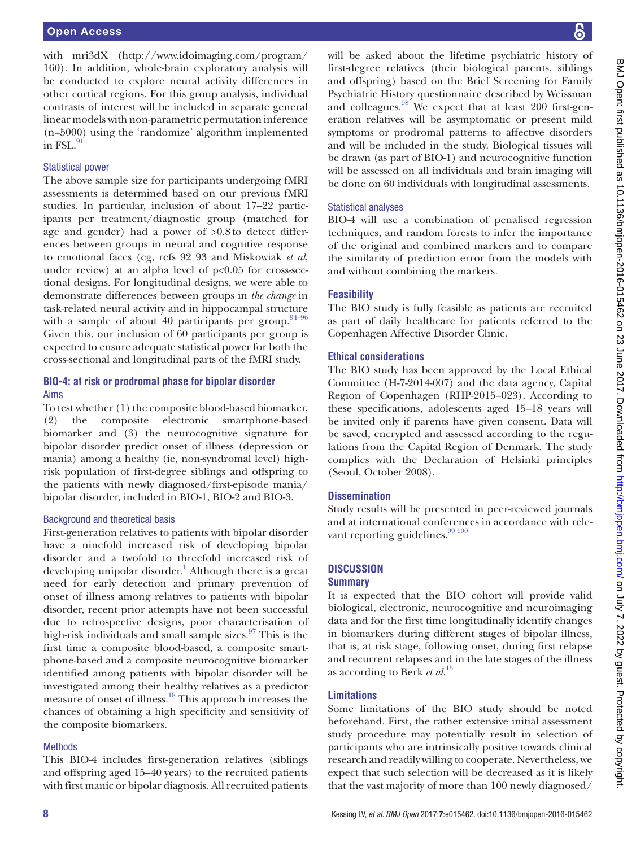with mri3dX [\(http://www.idoimaging.com/program/](http://www.idoimaging.com/program/160) [160](http://www.idoimaging.com/program/160)). In addition, whole-brain exploratory analysis will be conducted to explore neural activity differences in other cortical regions. For this group analysis, individual contrasts of interest will be included in separate general linear models with non-parametric permutation inference (n=5000) using the 'randomize' algorithm implemented in FSL. $^{91}$ 

#### Statistical power

The above sample size for participants undergoing fMRI assessments is determined based on our previous fMRI studies. In particular, inclusion of about 17–22 participants per treatment/diagnostic group (matched for age and gender) had a power of >0.8to detect differences between groups in neural and cognitive response to emotional faces (eg, refs [92 93](#page-11-5) and Miskowiak *et al*, under review) at an alpha level of  $p<0.05$  for cross-sectional designs. For longitudinal designs, we were able to demonstrate differences between groups in *the change* in task-related neural activity and in hippocampal structure with a sample of about 40 participants per group.  $94-96$ Given this, our inclusion of 60 participants per group is expected to ensure adequate statistical power for both the cross-sectional and longitudinal parts of the fMRI study.

#### **BIO-4: at risk or prodromal phase for bipolar disorder** Aims

To test whether (1) the composite blood-based biomarker, (2) the composite electronic smartphone-based biomarker and (3) the neurocognitive signature for bipolar disorder predict onset of illness (depression or mania) among a healthy (ie, non-syndromal level) highrisk population of first-degree siblings and offspring to the patients with newly diagnosed/first-episode mania/ bipolar disorder, included in BIO-1, BIO-2 and BIO-3.

# Background and theoretical basis

First-generation relatives to patients with bipolar disorder have a ninefold increased risk of developing bipolar disorder and a twofold to threefold increased risk of developing unipolar disorder.<sup>[1](#page-9-0)</sup> Although there is a great need for early detection and primary prevention of onset of illness among relatives to patients with bipolar disorder, recent prior attempts have not been successful due to retrospective designs, poor characterisation of high-risk individuals and small sample sizes. $97$  This is the first time a composite blood-based, a composite smartphone-based and a composite neurocognitive biomarker identified among patients with bipolar disorder will be investigated among their healthy relatives as a predictor measure of onset of illness.[18](#page-9-26) This approach increases the chances of obtaining a high specificity and sensitivity of the composite biomarkers.

# Methods

This BIO-4 includes first-generation relatives (siblings and offspring aged 15–40 years) to the recruited patients with first manic or bipolar diagnosis. All recruited patients will be asked about the lifetime psychiatric history of first-degree relatives (their biological parents, siblings and offspring) based on the Brief Screening for Family Psychiatric History questionnaire described by Weissman and colleagues.<sup>98</sup> We expect that at least 200 first-generation relatives will be asymptomatic or present mild symptoms or prodromal patterns to affective disorders and will be included in the study. Biological tissues will be drawn (as part of BIO-1) and neurocognitive function will be assessed on all individuals and brain imaging will be done on 60 individuals with longitudinal assessments.

# Statistical analyses

BIO-4 will use a combination of penalised regression techniques, and random forests to infer the importance of the original and combined markers and to compare the similarity of prediction error from the models with and without combining the markers.

# **Feasibility**

The BIO study is fully feasible as patients are recruited as part of daily healthcare for patients referred to the Copenhagen Affective Disorder Clinic.

# **Ethical considerations**

The BIO study has been approved by the Local Ethical Committee (H-7-2014-007) and the data agency, Capital Region of Copenhagen (RHP-2015–023). According to these specifications, adolescents aged 15–18 years will be invited only if parents have given consent. Data will be saved, encrypted and assessed according to the regulations from the Capital Region of Denmark. The study complies with the Declaration of Helsinki principles (Seoul, October 2008).

# **Dissemination**

Study results will be presented in peer-reviewed journals and at international conferences in accordance with relevant reporting guidelines.<sup>99 100</sup>

# **Discussion**

# **Summary**

It is expected that the BIO cohort will provide valid biological, electronic, neurocognitive and neuroimaging data and for the first time longitudinally identify changes in biomarkers during different stages of bipolar illness, that is, at risk stage, following onset, during first relapse and recurrent relapses and in the late stages of the illness as according to Berk *et al*. [15](#page-9-22)

# **Limitations**

Some limitations of the BIO study should be noted beforehand. First, the rather extensive initial assessment study procedure may potentially result in selection of participants who are intrinsically positive towards clinical research and readily willing to cooperate. Nevertheless, we expect that such selection will be decreased as it is likely that the vast majority of more than 100 newly diagnosed/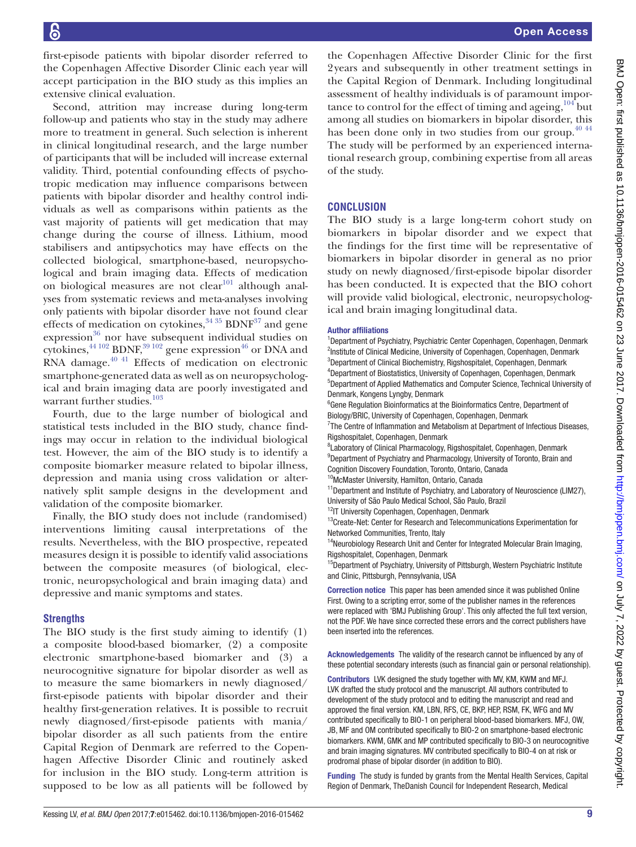first-episode patients with bipolar disorder referred to the Copenhagen Affective Disorder Clinic each year will accept participation in the BIO study as this implies an extensive clinical evaluation.

Second, attrition may increase during long-term follow-up and patients who stay in the study may adhere more to treatment in general. Such selection is inherent in clinical longitudinal research, and the large number of participants that will be included will increase external validity. Third, potential confounding effects of psychotropic medication may influence comparisons between patients with bipolar disorder and healthy control individuals as well as comparisons within patients as the vast majority of patients will get medication that may change during the course of illness. Lithium, mood stabilisers and antipsychotics may have effects on the collected biological, smartphone-based, neuropsychological and brain imaging data. Effects of medication on biological measures are not clear<sup>101</sup> although analyses from systematic reviews and meta-analyses involving only patients with bipolar disorder have not found clear effects of medication on cytokines,  $34\,35$  BDNF $37$  and gene  $expression<sup>36</sup>$  nor have subsequent individual studies on cytokines, $^{44\ 102}$  BDNF, $^{39\ 102}$  gene expression $^{46}$  or DNA and RNA damage. $40$ <sup>41</sup> Effects of medication on electronic smartphone-generated data as well as on neuropsychological and brain imaging data are poorly investigated and warrant further studies.<sup>103</sup>

Fourth, due to the large number of biological and statistical tests included in the BIO study, chance findings may occur in relation to the individual biological test. However, the aim of the BIO study is to identify a composite biomarker measure related to bipolar illness, depression and mania using cross validation or alternatively split sample designs in the development and validation of the composite biomarker.

Finally, the BIO study does not include (randomised) interventions limiting causal interpretations of the results. Nevertheless, with the BIO prospective, repeated measures design it is possible to identify valid associations between the composite measures (of biological, electronic, neuropsychological and brain imaging data) and depressive and manic symptoms and states.

#### **Strengths**

The BIO study is the first study aiming to identify (1) a composite blood-based biomarker, (2) a composite electronic smartphone-based biomarker and (3) a neurocognitive signature for bipolar disorder as well as to measure the same biomarkers in newly diagnosed/ first-episode patients with bipolar disorder and their healthy first-generation relatives. It is possible to recruit newly diagnosed/first-episode patients with mania/ bipolar disorder as all such patients from the entire Capital Region of Denmark are referred to the Copenhagen Affective Disorder Clinic and routinely asked for inclusion in the BIO study. Long-term attrition is supposed to be low as all patients will be followed by

the Copenhagen Affective Disorder Clinic for the first 2years and subsequently in other treatment settings in the Capital Region of Denmark. Including longitudinal assessment of healthy individuals is of paramount importance to control for the effect of timing and ageing,  $104$  but among all studies on biomarkers in bipolar disorder, this has been done only in two studies from our group. $40\frac{40\frac{44}{5}}{44}$ The study will be performed by an experienced international research group, combining expertise from all areas of the study.

# **Conclusion**

The BIO study is a large long-term cohort study on biomarkers in bipolar disorder and we expect that the findings for the first time will be representative of biomarkers in bipolar disorder in general as no prior study on newly diagnosed/first-episode bipolar disorder has been conducted. It is expected that the BIO cohort will provide valid biological, electronic, neuropsychological and brain imaging longitudinal data.

#### Author affiliations

<sup>1</sup>Department of Psychiatry, Psychiatric Center Copenhagen, Copenhagen, Denmark <sup>2</sup>Institute of Clinical Medicine, University of Copenhagen, Copenhagen, Denmark <sup>3</sup>Department of Clinical Biochemistry, Rigshospitalet, Copenhagen, Denmark 4 Department of Biostatistics, University of Copenhagen, Copenhagen, Denmark 5 Department of Applied Mathematics and Computer Science, Technical University of Denmark, Kongens Lyngby, Denmark <sup>6</sup> Gene Regulation Bioinformatics at the Bioinformatics Centre, Department of Biology/BRIC, University of Copenhagen, Copenhagen, Denmark  $7$ The Centre of Inflammation and Metabolism at Department of Infectious Diseases, Rigshospitalet, Copenhagen, Denmark <sup>8</sup>Laboratory of Clinical Pharmacology, Rigshospitalet, Copenhagen, Denmark <sup>9</sup>Department of Psychiatry and Pharmacology, University of Toronto, Brain and Cognition Discovery Foundation, Toronto, Ontario, Canada <sup>10</sup>McMaster University, Hamilton, Ontario, Canada <sup>11</sup>Department and Institute of Psychiatry, and Laboratory of Neuroscience (LIM27), University of São Paulo Medical School, São Paulo, Brazil <sup>12</sup>IT University Copenhagen, Copenhagen, Denmark <sup>13</sup>Create-Net: Center for Research and Telecommunications Experimentation for Networked Communities, Trento, Italy <sup>14</sup>Neurobiology Research Unit and Center for Integrated Molecular Brain Imaging, Rigshospitalet, Copenhagen, Denmark

<sup>15</sup>Department of Psychiatry, University of Pittsburgh, Western Psychiatric Institute and Clinic, Pittsburgh, Pennsylvania, USA

Correction notice This paper has been amended since it was published Online First. Owing to a scripting error, some of the publisher names in the references were replaced with 'BMJ Publishing Group'. This only affected the full text version, not the PDF. We have since corrected these errors and the correct publishers have been inserted into the references.

Acknowledgements The validity of the research cannot be influenced by any of these potential secondary interests (such as financial gain or personal relationship).

Contributors LVK designed the study together with MV, KM, KWM and MFJ. LVK drafted the study protocol and the manuscript. All authors contributed to development of the study protocol and to editing the manuscript and read and approved the final version. KM, LBN, RFS, CE, BKP, HEP, RSM, FK, WFG and MV contributed specifically to BIO-1 on peripheral blood-based biomarkers. MFJ, OW, JB, MF and OM contributed specifically to BIO-2 on smartphone-based electronic biomarkers. KWM, GMK and MP contributed specifically to BIO-3 on neurocognitive and brain imaging signatures. MV contributed specifically to BIO-4 on at risk or prodromal phase of bipolar disorder (in addition to BIO).

Funding The study is funded by grants from the Mental Health Services, Capital Region of Denmark, TheDanish Council for Independent Research, Medical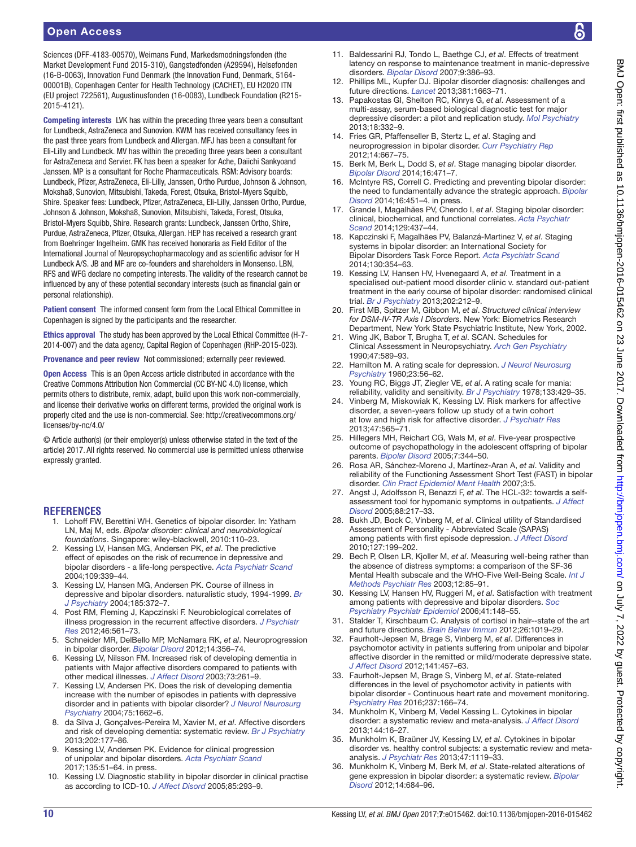Sciences (DFF-4183-00570), Weimans Fund, Markedsmodningsfonden (the Market Development Fund 2015-310), Gangstedfonden (A29594), Helsefonden (16-B-0063), Innovation Fund Denmark (the Innovation Fund, Denmark, 5164- 00001B), Copenhagen Center for Health Technology (CACHET), EU H2020 ITN (EU project 722561), Augustinusfonden (16-0083), Lundbeck Foundation (R215- 2015-4121).

Competing interests LVK has within the preceding three years been a consultant for Lundbeck, AstraZeneca and Sunovion. KWM has received consultancy fees in the past three years from Lundbeck and Allergan. MFJ has been a consultant for Eli-Lilly and Lundbeck. MV has within the preceding three years been a consultant for AstraZeneca and Servier. FK has been a speaker for Ache, Daiichi Sankyoand Janssen. MP is a consultant for Roche Pharmaceuticals. RSM: Advisory boards: Lundbeck, Pfizer, AstraZeneca, Eli-Lilly, Janssen, Ortho Purdue, Johnson & Johnson, Moksha8, Sunovion, Mitsubishi, Takeda, Forest, Otsuka, Bristol-Myers Squibb, Shire. Speaker fees: Lundbeck, Pfizer, AstraZeneca, Eli-Lilly, Janssen Ortho, Purdue, Johnson & Johnson, Moksha8, Sunovion, Mitsubishi, Takeda, Forest, Otsuka, Bristol-Myers Squibb, Shire. Research grants: Lundbeck, Janssen Ortho, Shire, Purdue, AstraZeneca, Pfizer, Otsuka, Allergan. HEP has received a research grant from Boehringer Ingelheim. GMK has received honoraria as Field Editor of the International Journal of Neuropsychopharmacology and as scientific advisor for H Lundbeck A/S. JB and MF are co-founders and shareholders in Monsenso. LBN, RFS and WFG declare no competing interests. The validity of the research cannot be influenced by any of these potential secondary interests (such as financial gain or personal relationship).

Patient consent The informed consent form from the Local Ethical Committee in Copenhagen is signed by the participants and the researcher.

Ethics approval The study has been approved by the Local Ethical Committee (H-7- 2014-007) and the data agency, Capital Region of Copenhagen (RHP-2015-023).

Provenance and peer review Not commissioned; externally peer reviewed.

Open Access This is an Open Access article distributed in accordance with the Creative Commons Attribution Non Commercial (CC BY-NC 4.0) license, which permits others to distribute, remix, adapt, build upon this work non-commercially, and license their derivative works on different terms, provided the original work is properly cited and the use is non-commercial. See: [http://creativecommons.org/](http://creativecommons.org/licenses/by-nc/4.0/) [licenses/by-nc/4.0/](http://creativecommons.org/licenses/by-nc/4.0/)

© Article author(s) (or their employer(s) unless otherwise stated in the text of the article) 2017. All rights reserved. No commercial use is permitted unless otherwise expressly granted.

#### <span id="page-9-0"></span>**References**

- 1. Lohoff FW, Berettini WH. Genetics of bipolar disorder. In: Yatham LN, Maj M, eds. *Bipolar disorder: clinical and neurobiological foundations*. Singapore: wiley-blackwell, 2010:110–23.
- <span id="page-9-1"></span>2. Kessing LV, Hansen MG, Andersen PK, *et al*. The predictive effect of episodes on the risk of recurrence in depressive and bipolar disorders - a life-long perspective. *[Acta Psychiatr Scand](http://dx.doi.org/10.1046/j.1600-0447.2003.00266.x)* 2004;109:339–44.
- 3. Kessing LV, Hansen MG, Andersen PK. Course of illness in depressive and bipolar disorders. naturalistic study, 1994-1999. *[Br](http://dx.doi.org/10.1192/bjp.185.5.372)  [J Psychiatry](http://dx.doi.org/10.1192/bjp.185.5.372)* 2004;185:372–7.
- 4. Post RM, Fleming J, Kapczinski F. Neurobiological correlates of illness progression in the recurrent affective disorders. *[J Psychiatr](http://dx.doi.org/10.1016/j.jpsychires.2012.02.004)  [Res](http://dx.doi.org/10.1016/j.jpsychires.2012.02.004)* 2012;46:561–73.
- 5. Schneider MR, DelBello MP, McNamara RK, *et al*. Neuroprogression in bipolar disorder. *[Bipolar Disord](http://dx.doi.org/10.1111/j.1399-5618.2012.01024.x)* 2012;14:356–74.
- <span id="page-9-2"></span>6. Kessing LV, Nilsson FM. Increased risk of developing dementia in patients with Major affective disorders compared to patients with other medical illnesses. *[J Affect Disord](http://dx.doi.org/10.1016/S0165-0327(02)00004-6)* 2003;73:261–9.
- <span id="page-9-25"></span>7. Kessing LV, Andersen PK. Does the risk of developing dementia increase with the number of episodes in patients with depressive disorder and in patients with bipolar disorder? *[J Neurol Neurosurg](http://dx.doi.org/10.1136/jnnp.2003.031773)  [Psychiatry](http://dx.doi.org/10.1136/jnnp.2003.031773)* 2004;75:1662–6.
- 8. da Silva J, Gonçalves-Pereira M, Xavier M, *et al*. Affective disorders and risk of developing dementia: systematic review. *[Br J Psychiatry](http://dx.doi.org/10.1192/bjp.bp.111.101931)* 2013;202:177–86.
- <span id="page-9-7"></span>Kessing LV, Andersen PK. Evidence for clinical progression of unipolar and bipolar disorders. *[Acta Psychiatr Scand](http://dx.doi.org/10.1111/acps.12667)* 2017;135:51–64. in press.
- <span id="page-9-3"></span>10. Kessing LV. Diagnostic stability in bipolar disorder in clinical practise as according to ICD-10. *[J Affect Disord](http://dx.doi.org/10.1016/j.jad.2004.11.001)* 2005;85:293–9.
- <span id="page-9-4"></span>11. Baldessarini RJ, Tondo L, Baethge CJ, *et al*. Effects of treatment latency on response to maintenance treatment in manic-depressive disorders. *[Bipolar Disord](http://dx.doi.org/10.1111/j.1399-5618.2007.00385.x)* 2007;9:386–93.
- <span id="page-9-5"></span>12. Phillips ML, Kupfer DJ. Bipolar disorder diagnosis: challenges and future directions. *[Lancet](http://dx.doi.org/10.1016/S0140-6736(13)60989-7)* 2013;381:1663–71.
- <span id="page-9-6"></span>13. Papakostas GI, Shelton RC, Kinrys G, *et al*. Assessment of a multi-assay, serum-based biological diagnostic test for major depressive disorder: a pilot and replication study. *[Mol Psychiatry](http://dx.doi.org/10.1038/mp.2011.166)* 2013;18:332–9.
- <span id="page-9-8"></span>14. Fries GR, Pfaffenseller B, Stertz L, *et al*. Staging and neuroprogression in bipolar disorder. *[Curr Psychiatry Rep](http://dx.doi.org/10.1007/s11920-012-0319-2)* 2012;14:667–75.
- <span id="page-9-22"></span>15. Berk M, Berk L, Dodd S, *et al*. Stage managing bipolar disorder. *[Bipolar Disord](http://dx.doi.org/10.1111/bdi.12099)* 2014;16:471–7.
- 16. McIntyre RS, Correll C. Predicting and preventing bipolar disorder: the need to fundamentally advance the strategic approach. *[Bipolar](http://dx.doi.org/10.1111/bdi.12216)  [Disord](http://dx.doi.org/10.1111/bdi.12216)* 2014;16:451–4. in press.
- 17. Grande I, Magalhães PV, Chendo I, *et al*. Staging bipolar disorder: clinical, biochemical, and functional correlates. *[Acta Psychiatr](http://dx.doi.org/10.1111/acps.12268)  [Scand](http://dx.doi.org/10.1111/acps.12268)* 2014;129:437–44.
- <span id="page-9-26"></span>18. Kapczinski F, Magalhães PV, Balanzá-Martinez V, *et al*. Staging systems in bipolar disorder: an International Society for Bipolar Disorders Task Force Report. *[Acta Psychiatr Scand](http://dx.doi.org/10.1111/acps.12305)* 2014;130:354–63.
- <span id="page-9-9"></span>19. Kessing LV, Hansen HV, Hvenegaard A, *et al*. Treatment in a specialised out-patient mood disorder clinic v. standard out-patient treatment in the early course of bipolar disorder: randomised clinical trial. *[Br J Psychiatry](http://dx.doi.org/10.1192/bjp.bp.112.113548)* 2013;202:212–9.
- <span id="page-9-10"></span>20. First MB, Spitzer M, Gibbon M, *et al*. *Structured clinical interview for DSM-IV-TR Axis I Disorders*. New York: Biometrics Research Department, New York State Psychiatric Institute, New York, 2002.
- <span id="page-9-11"></span>21. Wing JK, Babor T, Brugha T, *et al*. SCAN. Schedules for Clinical Assessment in Neuropsychiatry. *Arch Gen Psychiatry* 1990;47:589–93.
- <span id="page-9-12"></span>22. Hamilton M. A rating scale for depression. *[J Neurol Neurosurg](http://dx.doi.org/10.1136/jnnp.23.1.56)  [Psychiatry](http://dx.doi.org/10.1136/jnnp.23.1.56)* 1960;23:56–62.
- <span id="page-9-13"></span>23. Young RC, Biggs JT, Ziegler VE, *et al*. A rating scale for mania: reliability, validity and sensitivity. *[Br J Psychiatry](http://dx.doi.org/10.1192/bjp.133.5.429)* 1978;133:429–35.
- <span id="page-9-14"></span>24. Vinberg M, Miskowiak K, Kessing LV. Risk markers for affective disorder, a seven-years follow up study of a twin cohort at low and high risk for affective disorder. *[J Psychiatr Res](http://dx.doi.org/10.1016/j.jpsychires.2013.01.013)* 2013;47:565–71.
- 25. Hillegers MH, Reichart CG, Wals M, *et al*. Five-year prospective outcome of psychopathology in the adolescent offspring of bipolar parents. *[Bipolar Disord](http://dx.doi.org/10.1111/j.1399-5618.2005.00215.x)* 2005;7:344–50.
- <span id="page-9-15"></span>26. Rosa AR, Sánchez-Moreno J, Martínez-Aran A, *et al*. Validity and reliability of the Functioning Assessment Short Test (FAST) in bipolar disorder. *[Clin Pract Epidemiol Ment Health](http://dx.doi.org/10.1186/1745-0179-3-5)* 2007;3:5.
- <span id="page-9-16"></span>27. Angst J, Adolfsson R, Benazzi F, *et al*. The HCL-32: towards a selfassessment tool for hypomanic symptoms in outpatients. *[J Affect](http://dx.doi.org/10.1016/j.jad.2005.05.011)  [Disord](http://dx.doi.org/10.1016/j.jad.2005.05.011)* 2005;88:217–33.
- <span id="page-9-17"></span>28. Bukh JD, Bock C, Vinberg M, *et al*. Clinical utility of Standardised Assessment of Personality - Abbreviated Scale (SAPAS) among patients with first episode depression. *[J Affect Disord](http://dx.doi.org/10.1016/j.jad.2010.05.023)* 2010;127:199–202.
- <span id="page-9-18"></span>29. Bech P, Olsen LR, Kjoller M, *et al*. Measuring well-being rather than the absence of distress symptoms: a comparison of the SF-36 Mental Health subscale and the WHO-Five Well-Being Scale. *[Int J](http://dx.doi.org/10.1002/mpr.145)  [Methods Psychiatr Res](http://dx.doi.org/10.1002/mpr.145)* 2003;12:85–91.
- <span id="page-9-19"></span>30. Kessing LV, Hansen HV, Ruggeri M, *et al*. Satisfaction with treatment among patients with depressive and bipolar disorders. *[Soc](http://dx.doi.org/10.1007/s00127-005-0012-4)  [Psychiatry Psychiatr Epidemiol](http://dx.doi.org/10.1007/s00127-005-0012-4)* 2006;41:148–55.
- <span id="page-9-20"></span>31. Stalder T, Kirschbaum C. Analysis of cortisol in hair--state of the art and future directions. *[Brain Behav Immun](http://dx.doi.org/10.1016/j.bbi.2012.02.002)* 2012;26:1019–29.
- <span id="page-9-21"></span>32. Faurholt-Jepsen M, Brage S, Vinberg M, *et al*. Differences in psychomotor activity in patients suffering from unipolar and bipolar affective disorder in the remitted or mild/moderate depressive state. *[J Affect Disord](http://dx.doi.org/10.1016/j.jad.2012.02.020)* 2012;141:457–63.
- 33. Faurholt-Jepsen M, Brage S, Vinberg M, *et al*. State-related differences in the level of psychomotor activity in patients with bipolar disorder - Continuous heart rate and movement monitoring. *[Psychiatry Res](http://dx.doi.org/10.1016/j.psychres.2016.01.047)* 2016;237:166–74.
- <span id="page-9-23"></span>34. Munkholm K, Vinberg M, Vedel Kessing L. Cytokines in bipolar disorder: a systematic review and meta-analysis. *[J Affect Disord](http://dx.doi.org/10.1016/j.jad.2012.06.010)* 2013;144:16–27.
- <span id="page-9-24"></span>35. Munkholm K, Braüner JV, Kessing LV, *et al*. Cytokines in bipolar disorder vs. healthy control subjects: a systematic review and metaanalysis. *[J Psychiatr Res](http://dx.doi.org/10.1016/j.jpsychires.2013.05.018)* 2013;47:1119–33.
- <span id="page-9-27"></span>36. Munkholm K, Vinberg M, Berk M, *et al*. State-related alterations of gene expression in bipolar disorder: a systematic review. *[Bipolar](http://dx.doi.org/10.1111/bdi.12005)  [Disord](http://dx.doi.org/10.1111/bdi.12005)* 2012;14:684–96.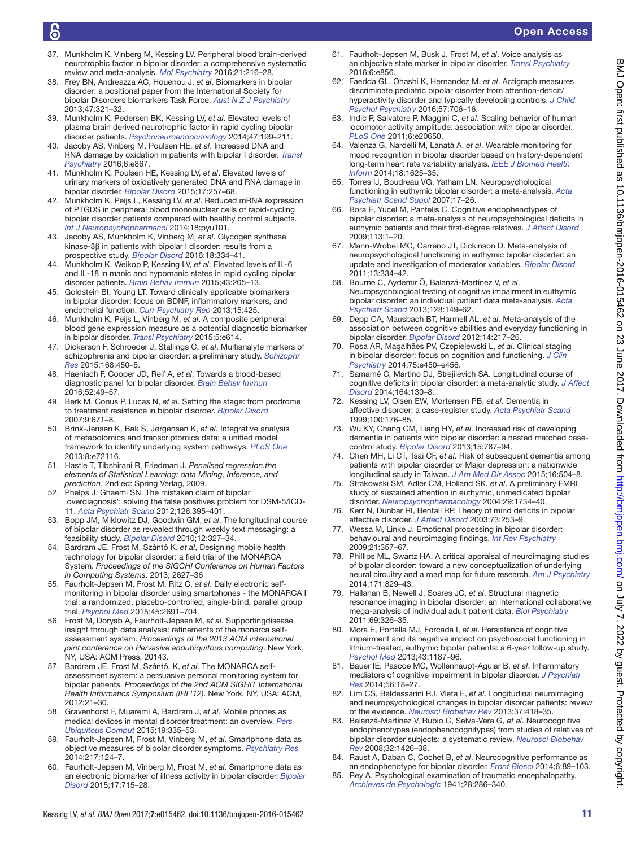- <span id="page-10-28"></span>37. Munkholm K, Vinberg M, Kessing LV. Peripheral blood brain-derived neurotrophic factor in bipolar disorder: a comprehensive systematic review and meta-analysis. *[Mol Psychiatry](http://dx.doi.org/10.1038/mp.2015.54)* 2016;21:216–28.
- <span id="page-10-24"></span>38. Frey BN, Andreazza AC, Houenou J, *et al*. Biomarkers in bipolar disorder: a positional paper from the International Society for bipolar Disorders biomarkers Task Force. *[Aust N Z J Psychiatry](http://dx.doi.org/10.1177/0004867413478217)* 2013;47:321–32.
- <span id="page-10-0"></span>39. Munkholm K, Pedersen BK, Kessing LV, *et al*. Elevated levels of plasma brain derived neurotrophic factor in rapid cycling bipolar disorder patients. *[Psychoneuroendocrinology](http://dx.doi.org/10.1016/j.psyneuen.2014.05.011)* 2014;47:199–211.
- <span id="page-10-1"></span>40. Jacoby AS, Vinberg M, Poulsen HE, *et al*. Increased DNA and RNA damage by oxidation in patients with bipolar I disorder. *[Transl](http://dx.doi.org/10.1038/tp.2016.141)  [Psychiatry](http://dx.doi.org/10.1038/tp.2016.141)* 2016;6:e867.
- 41. Munkholm K, Poulsen HE, Kessing LV, *et al*. Elevated levels of urinary markers of oxidatively generated DNA and RNA damage in bipolar disorder. *[Bipolar Disord](http://dx.doi.org/10.1111/bdi.12245)* 2015;17:257–68.
- <span id="page-10-2"></span>42. Munkholm K, Peijs L, Kessing LV, *et al*. Reduced mRNA expression of PTGDS in peripheral blood mononuclear cells of rapid-cycling bipolar disorder patients compared with healthy control subjects. *[Int J Neuropsychopharmacol](http://dx.doi.org/10.1093/ijnp/pyu101)* 2014;18:pyu101.
- <span id="page-10-3"></span>43. Jacoby AS, Munkholm K, Vinberg M, *et al*. Glycogen synthase kinase-3β in patients with bipolar I disorder: results from a prospective study. *[Bipolar Disord](http://dx.doi.org/10.1111/bdi.12400)* 2016;18:334–41.
- <span id="page-10-4"></span>44. Munkholm K, Weikop P, Kessing LV, *et al*. Elevated levels of IL-6 and IL-18 in manic and hypomanic states in rapid cycling bipolar disorder patients. *[Brain Behav Immun](http://dx.doi.org/10.1016/j.bbi.2014.09.021)* 2015;43:205–13.
- <span id="page-10-5"></span>45. Goldstein BI, Young LT. Toward clinically applicable biomarkers in bipolar disorder: focus on BDNF, inflammatory markers, and endothelial function. *[Curr Psychiatry Rep](http://dx.doi.org/10.1007/s11920-013-0425-9)* 2013;15:425.
- <span id="page-10-6"></span>46. Munkholm K, Peijs L, Vinberg M, *et al*. A composite peripheral blood gene expression measure as a potential diagnostic biomarker in bipolar disorder. *[Transl Psychiatry](http://dx.doi.org/10.1038/tp.2015.110)* 2015;5:e614.
- 47. Dickerson F, Schroeder J, Stallings C, *et al*. Multianalyte markers of schizophrenia and bipolar disorder: a preliminary study. *[Schizophr](http://dx.doi.org/10.1016/j.schres.2015.08.003)  [Res](http://dx.doi.org/10.1016/j.schres.2015.08.003)* 2015;168:450–5.
- 48. Haenisch F, Cooper JD, Reif A, *et al*. Towards a blood-based diagnostic panel for bipolar disorder. *[Brain Behav Immun](http://dx.doi.org/10.1016/j.bbi.2015.10.001)* 2016;52:49–57.
- <span id="page-10-7"></span>49. Berk M, Conus P, Lucas N, *et al*. Setting the stage: from prodrome to treatment resistance in bipolar disorder. *[Bipolar Disord](http://dx.doi.org/10.1111/j.1399-5618.2007.00484.x)* 2007;9:671–8.
- <span id="page-10-8"></span>50. Brink-Jensen K, Bak S, Jørgensen K, *et al*. Integrative analysis of metabolomics and transcriptomics data: a unified model framework to identify underlying system pathways. *[PLoS One](http://dx.doi.org/10.1371/journal.pone.0072116)* 2013;8:e72116.
- 51. Hastie T, Tibshirani R, Friedman J. *Penalised regression.the elements of Statistical Learning: data Mining, Inference, and prediction*. 2nd ed: Spring Verlag, 2009.
- <span id="page-10-9"></span>52. Phelps J, Ghaemi SN. The mistaken claim of bipolar 'overdiagnosis': solving the false positives problem for DSM-5/ICD-11. *[Acta Psychiatr Scand](http://dx.doi.org/10.1111/j.1600-0447.2012.01912.x)* 2012;126:395–401.
- <span id="page-10-10"></span>53. Bopp JM, Miklowitz DJ, Goodwin GM, *et al*. The longitudinal course of bipolar disorder as revealed through weekly text messaging: a feasibility study. *[Bipolar Disord](http://dx.doi.org/10.1111/j.1399-5618.2010.00807.x)* 2010;12:327–34.
- <span id="page-10-11"></span>54. Bardram JE, Frost M, Szántó K, *et al*, Designing mobile health technology for bipolar disorder: a field trial of the MONARCA System. *Proceedings of the SIGCHI Conference on Human Factors in Computing Systems*. 2013; 2627–36
- 55. Faurholt-Jepsen M, Frost M, Ritz C, *et al*. Daily electronic selfmonitoring in bipolar disorder using smartphones - the MONARCA I trial: a randomized, placebo-controlled, single-blind, parallel group trial. *[Psychol Med](http://dx.doi.org/10.1017/S0033291715000410)* 2015;45:2691–704.
- 56. Frost M, Doryab A, Faurholt-Jepsen M, *et al*. Supportingdisease insight through data analysis: refinements of the monarca selfassessment system. *Proceedings of the 2013 ACM international joint conference on Pervasive andubiquitous computing*. New York, NY, USA: ACM Press, 20143.
- 57. Bardram JE, Frost M, Szántó, K, *et al*. The MONARCA selfassessment system: a persuasive personal monitoring system for bipolar patients. *Proceedings of the 2nd ACM SIGHIT International Health Informatics Symposium (IHI '12)*. New York, NY, USA: ACM, 2012:21–30.
- 58. Gravenhorst F, Muaremi A, Bardram J, *et al*. Mobile phones as medical devices in mental disorder treatment: an overview. *[Pers](http://dx.doi.org/10.1007/s00779-014-0829-5)  [Ubiquitous Comput](http://dx.doi.org/10.1007/s00779-014-0829-5)* 2015;19:335–53.
- <span id="page-10-12"></span>59. Faurholt-Jepsen M, Frost M, Vinberg M, *et al*. Smartphone data as objective measures of bipolar disorder symptoms. *[Psychiatry Res](http://dx.doi.org/10.1016/j.psychres.2014.03.009)* 2014;217:124–7.
- <span id="page-10-13"></span>60. Faurholt-Jepsen M, Vinberg M, Frost M, *et al*. Smartphone data as an electronic biomarker of illness activity in bipolar disorder. *[Bipolar](http://dx.doi.org/10.1111/bdi.12332)  [Disord](http://dx.doi.org/10.1111/bdi.12332)* 2015;17:715–28.
- <span id="page-10-14"></span>61. Faurholt-Jepsen M, Busk J, Frost M, *et al*. Voice analysis as an objective state marker in bipolar disorder. *[Transl Psychiatry](http://dx.doi.org/10.1038/tp.2016.123)* 2016;6:e856.
- <span id="page-10-15"></span>62. Faedda GL, Ohashi K, Hernandez M, *et al*. Actigraph measures discriminate pediatric bipolar disorder from attention-deficit/ hyperactivity disorder and typically developing controls. *[J Child](http://dx.doi.org/10.1111/jcpp.12520)  [Psychol Psychiatry](http://dx.doi.org/10.1111/jcpp.12520)* 2016;57:706–16.
- 63. Indic P, Salvatore P, Maggini C, *et al*. Scaling behavior of human locomotor activity amplitude: association with bipolar disorder. *[PLoS One](http://dx.doi.org/10.1371/journal.pone.0020650)* 2011;6:e20650.
- 64. Valenza G, Nardelli M, Lanatà A, *et al*. Wearable monitoring for mood recognition in bipolar disorder based on history-dependent long-term heart rate variability analysis. *[IEEE J Biomed Health](http://dx.doi.org/10.1109/JBHI.2013.2290382)  [Inform](http://dx.doi.org/10.1109/JBHI.2013.2290382)* 2014;18:1625–35.
- <span id="page-10-16"></span>65. Torres IJ, Boudreau VG, Yatham LN. Neuropsychological functioning in euthymic bipolar disorder: a meta-analysis. *[Acta](http://dx.doi.org/10.1111/j.1600-0447.2007.01055.x)  [Psychiatr Scand Suppl](http://dx.doi.org/10.1111/j.1600-0447.2007.01055.x)* 2007:17–26.
- 66. Bora E, Yucel M, Pantelis C. Cognitive endophenotypes of bipolar disorder: a meta-analysis of neuropsychological deficits in euthymic patients and their first-degree relatives. *[J Affect Disord](http://dx.doi.org/10.1016/j.jad.2008.06.009)* 2009;113:1–20.
- 67. Mann-Wrobel MC, Carreno JT, Dickinson D. Meta-analysis of neuropsychological functioning in euthymic bipolar disorder: an update and investigation of moderator variables. *[Bipolar Disord](http://dx.doi.org/10.1111/j.1399-5618.2011.00935.x)* 2011;13:334–42.
- 68. Bourne C, Aydemir Ö, Balanzá-Martínez V, *et al*. Neuropsychological testing of cognitive impairment in euthymic bipolar disorder: an individual patient data meta-analysis. *[Acta](http://dx.doi.org/10.1111/acps.12133)  [Psychiatr Scand](http://dx.doi.org/10.1111/acps.12133)* 2013;128:149–62.
- <span id="page-10-17"></span>69. Depp CA, Mausbach BT, Harmell AL, *et al*. Meta-analysis of the association between cognitive abilities and everyday functioning in bipolar disorder. *[Bipolar Disord](http://dx.doi.org/10.1111/j.1399-5618.2012.01011.x)* 2012;14:217–26.
- <span id="page-10-18"></span>70. Rosa AR, Magalhães PV, Czepielewski L, *et al*. Clinical staging in bipolar disorder: focus on cognition and functioning. *[J Clin](http://dx.doi.org/10.4088/JCP.13m08625)  [Psychiatry](http://dx.doi.org/10.4088/JCP.13m08625)* 2014;75:e450–e456.
- <span id="page-10-19"></span>71. Samamé C, Martino DJ, Strejilevich SA. Longitudinal course of cognitive deficits in bipolar disorder: a meta-analytic study. *[J Affect](http://dx.doi.org/10.1016/j.jad.2014.04.028)  [Disord](http://dx.doi.org/10.1016/j.jad.2014.04.028)* 2014;164:130–8.
- 72. Kessing LV, Olsen EW, Mortensen PB, *et al*. Dementia in affective disorder: a case-register study. *[Acta Psychiatr Scand](http://dx.doi.org/10.1111/j.1600-0447.1999.tb10843.x)* 1999;100:176–85.
- 73. Wu KY, Chang CM, Liang HY, *et al*. Increased risk of developing dementia in patients with bipolar disorder: a nested matched casecontrol study. *[Bipolar Disord](http://dx.doi.org/10.1111/bdi.12116)* 2013;15:787–94.
- 74. Chen MH, Li CT, Tsai CF, *et al*. Risk of subsequent dementia among patients with bipolar disorder or Major depression: a nationwide longitudinal study in Taiwan. *[J Am Med Dir Assoc](http://dx.doi.org/10.1016/j.jamda.2015.01.084)* 2015;16:504–8.
- <span id="page-10-20"></span>75. Strakowski SM, Adler CM, Holland SK, *et al*. A preliminary FMRI study of sustained attention in euthymic, unmedicated bipolar disorder. *[Neuropsychopharmacology](http://dx.doi.org/10.1038/sj.npp.1300492)* 2004;29:1734–40.
- <span id="page-10-21"></span>76. Kerr N, Dunbar RI, Bentall RP. Theory of mind deficits in bipolar affective disorder. *[J Affect Disord](http://dx.doi.org/10.1016/S0165-0327(02)00008-3)* 2003;73:253–9.
- <span id="page-10-22"></span>77. Wessa M, Linke J. Emotional processing in bipolar disorder: behavioural and neuroimaging findings. *[Int Rev Psychiatry](http://dx.doi.org/10.1080/09540260902962156)* 2009;21:357–67.
- 78. Phillips ML, Swartz HA. A critical appraisal of neuroimaging studies of bipolar disorder: toward a new conceptualization of underlying neural circuitry and a road map for future research. *[Am J Psychiatry](http://dx.doi.org/10.1176/appi.ajp.2014.13081008)* 2014;171:829–43.
- <span id="page-10-23"></span>79. Hallahan B, Newell J, Soares JC, *et al*. Structural magnetic resonance imaging in bipolar disorder: an international collaborative mega-analysis of individual adult patient data. *[Biol Psychiatry](http://dx.doi.org/10.1016/j.biopsych.2010.08.029)* 2011;69:326–35.
- 80. Mora E, Portella MJ, Forcada I, *et al*. Persistence of cognitive impairment and its negative impact on psychosocial functioning in lithium-treated, euthymic bipolar patients: a 6-year follow-up study. *[Psychol Med](http://dx.doi.org/10.1017/S0033291712001948)* 2013;43:1187–96.
- <span id="page-10-25"></span>81. Bauer IE, Pascoe MC, Wollenhaupt-Aguiar B, *et al*. Inflammatory mediators of cognitive impairment in bipolar disorder. *[J Psychiatr](http://dx.doi.org/10.1016/j.jpsychires.2014.04.017)  [Res](http://dx.doi.org/10.1016/j.jpsychires.2014.04.017)* 2014;56:18–27.
- 82. Lim CS, Baldessarini RJ, Vieta E, *et al*. Longitudinal neuroimaging and neuropsychological changes in bipolar disorder patients: review of the evidence. *[Neurosci Biobehav Rev](http://dx.doi.org/10.1016/j.neubiorev.2013.01.003)* 2013;37:418–35.
- <span id="page-10-26"></span>83. Balanzá-Martínez V, Rubio C, Selva-Vera G, *et al*. Neurocognitive endophenotypes (endophenocognitypes) from studies of relatives of bipolar disorder subjects: a systematic review. *[Neurosci Biobehav](http://dx.doi.org/10.1016/j.neubiorev.2008.05.019)  [Rev](http://dx.doi.org/10.1016/j.neubiorev.2008.05.019)* 2008;32:1426–38.
- 84. Raust A, Daban C, Cochet B, *et al*. Neurocognitive performance as an endophenotype for bipolar disorder. *Front Biosci* 2014;6:89–103.
- <span id="page-10-27"></span>85. Rey A. Psychological examination of traumatic encephalopathy. *Archieves de Psychologic* 1941;28:286–340.